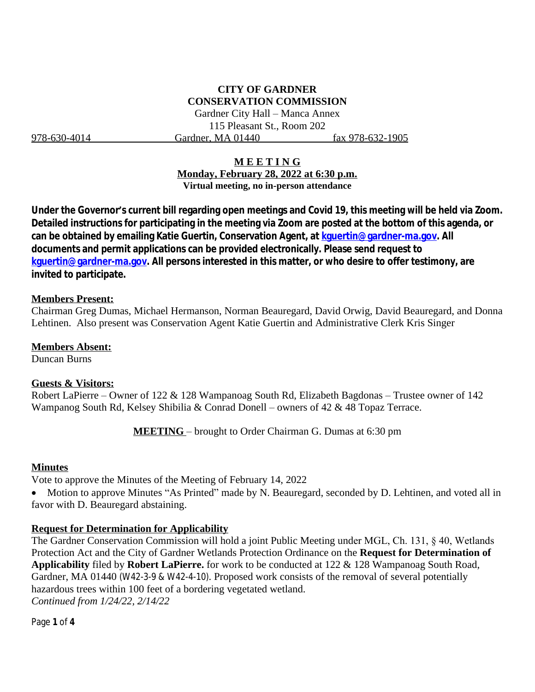# **CITY OF GARDNER CONSERVATION COMMISSION**

Gardner City Hall – Manca Annex 115 Pleasant St., Room 202 978-630-4014 Gardner, MA 01440 fax 978-632-1905

### **M E E T I N G**

**Monday, February 28, 2022 at 6:30 p.m. Virtual meeting, no in-person attendance**

**Under the Governor's current bill regarding open meetings and Covid 19, this meeting will be held via Zoom. Detailed instructions for participating in the meeting via Zoom are posted at the bottom of this agenda, or can be obtained by emailing Katie Guertin, Conservation Agent, at [kguertin@gardner-ma.gov. All](mailto:kguertin@gardner-ma.gov)  [documents and permit applications can be provided electronically. Please send request to](mailto:kguertin@gardner-ma.gov)  [kguertin@gardner-ma.gov.](mailto:kguertin@gardner-ma.gov) All persons interested in this matter, or who desire to offer testimony, are invited to participate.**

#### **Members Present:**

Chairman Greg Dumas, Michael Hermanson, Norman Beauregard, David Orwig, David Beauregard, and Donna Lehtinen. Also present was Conservation Agent Katie Guertin and Administrative Clerk Kris Singer

**Members Absent:** Duncan Burns

#### **Guests & Visitors:**

Robert LaPierre – Owner of 122 & 128 Wampanoag South Rd, Elizabeth Bagdonas – Trustee owner of 142 Wampanog South Rd, Kelsey Shibilia & Conrad Donell – owners of 42 & 48 Topaz Terrace.

**MEETING** – brought to Order Chairman G. Dumas at 6:30 pm

#### **Minutes**

Vote to approve the Minutes of the Meeting of February 14, 2022

 Motion to approve Minutes "As Printed" made by N. Beauregard, seconded by D. Lehtinen, and voted all in favor with D. Beauregard abstaining.

### **Request for Determination for Applicability**

The Gardner Conservation Commission will hold a joint Public Meeting under MGL, Ch. 131, § 40, Wetlands Protection Act and the City of Gardner Wetlands Protection Ordinance on the **Request for Determination of Applicability** filed by **Robert LaPierre.** for work to be conducted at 122 & 128 Wampanoag South Road, Gardner, MA 01440 (W42-3-9 & W42-4-10). Proposed work consists of the removal of several potentially hazardous trees within 100 feet of a bordering vegetated wetland. *Continued from 1/24/22, 2/14/22*

Page **1** of **4**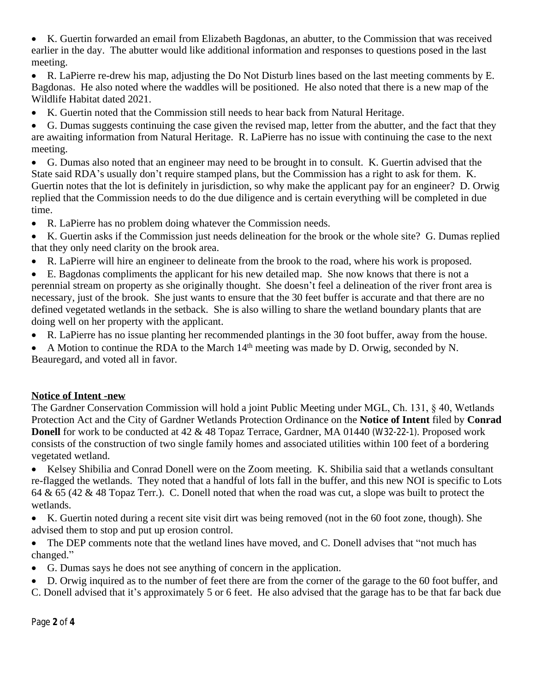K. Guertin forwarded an email from Elizabeth Bagdonas, an abutter, to the Commission that was received earlier in the day. The abutter would like additional information and responses to questions posed in the last meeting.

 R. LaPierre re-drew his map, adjusting the Do Not Disturb lines based on the last meeting comments by E. Bagdonas. He also noted where the waddles will be positioned. He also noted that there is a new map of the Wildlife Habitat dated 2021.

K. Guertin noted that the Commission still needs to hear back from Natural Heritage.

 G. Dumas suggests continuing the case given the revised map, letter from the abutter, and the fact that they are awaiting information from Natural Heritage. R. LaPierre has no issue with continuing the case to the next meeting.

 G. Dumas also noted that an engineer may need to be brought in to consult. K. Guertin advised that the State said RDA's usually don't require stamped plans, but the Commission has a right to ask for them. K. Guertin notes that the lot is definitely in jurisdiction, so why make the applicant pay for an engineer? D. Orwig replied that the Commission needs to do the due diligence and is certain everything will be completed in due time.

- R. LaPierre has no problem doing whatever the Commission needs.
- K. Guertin asks if the Commission just needs delineation for the brook or the whole site? G. Dumas replied that they only need clarity on the brook area.
- R. LaPierre will hire an engineer to delineate from the brook to the road, where his work is proposed.

 E. Bagdonas compliments the applicant for his new detailed map. She now knows that there is not a perennial stream on property as she originally thought. She doesn't feel a delineation of the river front area is necessary, just of the brook. She just wants to ensure that the 30 feet buffer is accurate and that there are no defined vegetated wetlands in the setback. She is also willing to share the wetland boundary plants that are doing well on her property with the applicant.

- R. LaPierre has no issue planting her recommended plantings in the 30 foot buffer, away from the house.
- A Motion to continue the RDA to the March  $14<sup>th</sup>$  meeting was made by D. Orwig, seconded by N. Beauregard, and voted all in favor.

# **Notice of Intent -new**

The Gardner Conservation Commission will hold a joint Public Meeting under MGL, Ch. 131, § 40, Wetlands Protection Act and the City of Gardner Wetlands Protection Ordinance on the **Notice of Intent** filed by **Conrad Donell** for work to be conducted at 42 & 48 Topaz Terrace, Gardner, MA 01440 (W32-22-1). Proposed work consists of the construction of two single family homes and associated utilities within 100 feet of a bordering vegetated wetland.

 Kelsey Shibilia and Conrad Donell were on the Zoom meeting. K. Shibilia said that a wetlands consultant re-flagged the wetlands. They noted that a handful of lots fall in the buffer, and this new NOI is specific to Lots 64 & 65 (42 & 48 Topaz Terr.). C. Donell noted that when the road was cut, a slope was built to protect the wetlands.

 K. Guertin noted during a recent site visit dirt was being removed (not in the 60 foot zone, though). She advised them to stop and put up erosion control.

• The DEP comments note that the wetland lines have moved, and C. Donell advises that "not much has changed."

- G. Dumas says he does not see anything of concern in the application.
- D. Orwig inquired as to the number of feet there are from the corner of the garage to the 60 foot buffer, and C. Donell advised that it's approximately 5 or 6 feet. He also advised that the garage has to be that far back due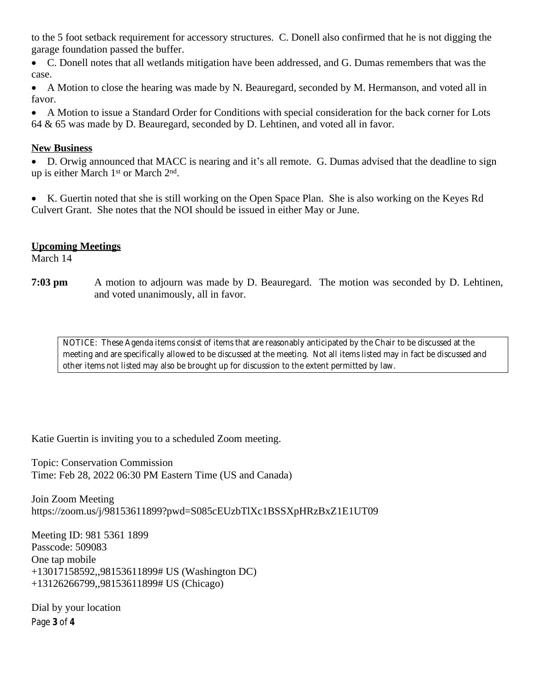to the 5 foot setback requirement for accessory structures. C. Donell also confirmed that he is not digging the garage foundation passed the buffer.

 C. Donell notes that all wetlands mitigation have been addressed, and G. Dumas remembers that was the case.

 A Motion to close the hearing was made by N. Beauregard, seconded by M. Hermanson, and voted all in favor.

 A Motion to issue a Standard Order for Conditions with special consideration for the back corner for Lots 64 & 65 was made by D. Beauregard, seconded by D. Lehtinen, and voted all in favor.

## **New Business**

 D. Orwig announced that MACC is nearing and it's all remote. G. Dumas advised that the deadline to sign up is either March 1<sup>st</sup> or March 2<sup>nd</sup>.

 K. Guertin noted that she is still working on the Open Space Plan. She is also working on the Keyes Rd Culvert Grant. She notes that the NOI should be issued in either May or June.

## **Upcoming Meetings**

March 14

**7:03 pm** A motion to adjourn was made by D. Beauregard. The motion was seconded by D. Lehtinen, and voted unanimously, all in favor.

*NOTICE: These Agenda items consist of items that are reasonably anticipated by the Chair to be discussed at the meeting and are specifically allowed to be discussed at the meeting. Not all items listed may in fact be discussed and other items not listed may also be brought up for discussion to the extent permitted by law.*

Katie Guertin is inviting you to a scheduled Zoom meeting.

Topic: Conservation Commission Time: Feb 28, 2022 06:30 PM Eastern Time (US and Canada)

Join Zoom Meeting https://zoom.us/j/98153611899?pwd=S085cEUzbTlXc1BSSXpHRzBxZ1E1UT09

Meeting ID: 981 5361 1899 Passcode: 509083 One tap mobile +13017158592,,98153611899# US (Washington DC) +13126266799,,98153611899# US (Chicago)

Page **3** of **4** Dial by your location